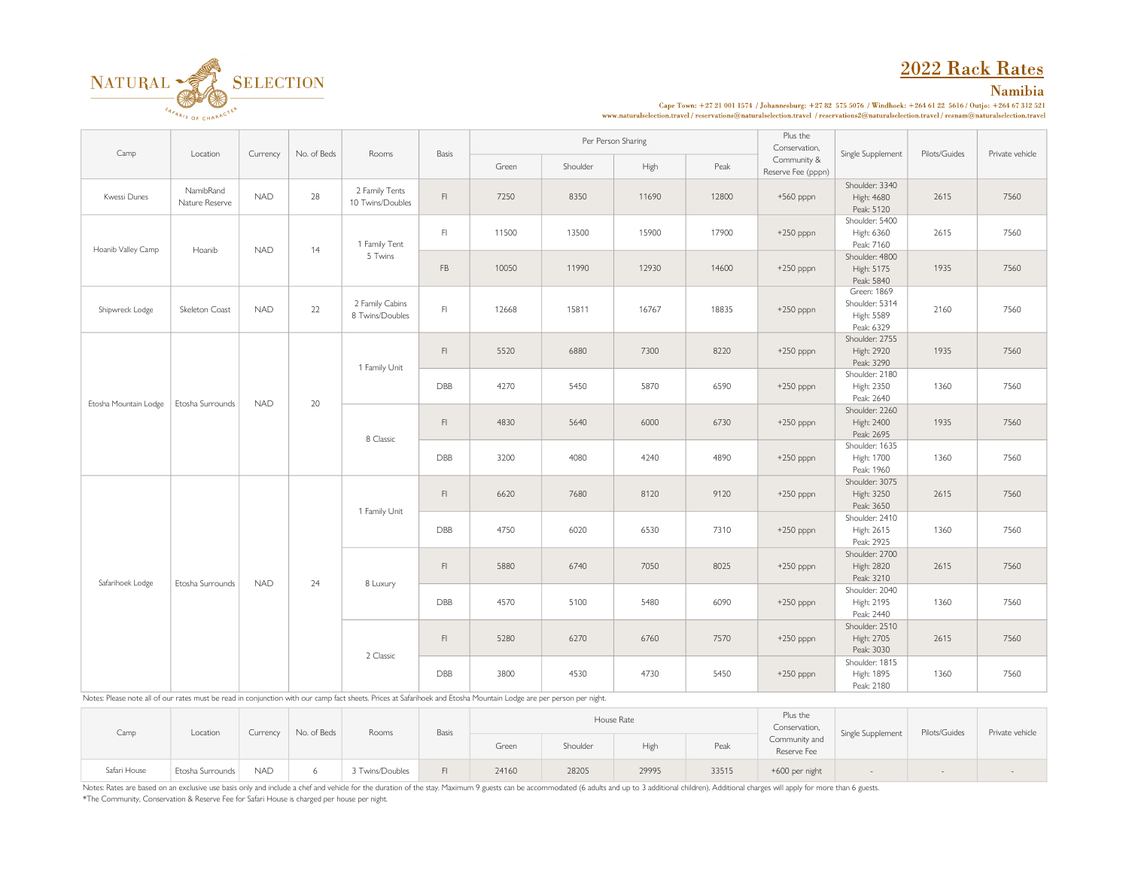# 2022 Rack Rates

## Namibia



Cape Town: +27 21 001 1574 / Johannesburg: +27 82 575 5076 / Windhoek: +264 61 22 5616 / Outjo: +264 67 312 521  ${\bf www.natural selection.travel/reservations@natural selection.travel/reservations@natural selection.travel/rreservations@natural selection.travel/resname@natural selection.travel/resname@natural selection.travel/resname@natural selection.travel/resname@natural selection.travel/resname@natural selection.travel/resname@natural selection.travel/resname@natural selection.travel/resname@natural selection.travel/resname@natural selection.travel/resname@val}$ 

| Camp                  |                             | Currency   | No. of Beds | Rooms                              |                                                                                      | Per Person Sharing<br>Basis |                                            |       |       | Plus the<br>Conservation,         | Pilots/Guides                                             | Private vehicle |      |
|-----------------------|-----------------------------|------------|-------------|------------------------------------|--------------------------------------------------------------------------------------|-----------------------------|--------------------------------------------|-------|-------|-----------------------------------|-----------------------------------------------------------|-----------------|------|
|                       | Location                    |            |             |                                    |                                                                                      | Green                       | Shoulder                                   | High  | Peak  | Community &<br>Reserve Fee (pppn) | Single Supplement                                         |                 |      |
| Kwessi Dunes          | NamibRand<br>Nature Reserve | <b>NAD</b> | 28          | 2 Family Tents<br>10 Twins/Doubles | $\mathsf{Fl}$                                                                        | 7250                        | 8350                                       | 11690 | 12800 | +560 pppn                         | Shoulder: 3340<br>High: 4680<br>Peak: 5120                | 2615            | 7560 |
| Hoanib Valley Camp    | Hoanib                      | <b>NAD</b> | 14          | 1 Family Tent                      | F1                                                                                   | 11500                       | 13500                                      | 15900 | 17900 | $+250$ pppn                       | Shoulder: 5400<br>High: 6360<br>Peak: 7160                | 2615            | 7560 |
|                       |                             |            |             | 5 Twins                            | FB                                                                                   | 10050                       | 11990                                      | 12930 | 14600 | $+250$ pppn                       | Shoulder: 4800<br>High: 5175<br>Peak: 5840                | 1935            | 7560 |
| Shipwreck Lodge       | Skeleton Coast              | <b>NAD</b> | 22          | 2 Family Cabins<br>8 Twins/Doubles | F1                                                                                   | 12668                       | 15811                                      | 16767 | 18835 | $+250$ pppn                       | Green: 1869<br>Shoulder: 5314<br>High: 5589<br>Peak: 6329 | 2160            | 7560 |
|                       |                             |            | 20          | 1 Family Unit                      | $\mathsf{Fl}$<br>5520<br>6880<br>7300<br>8220<br>4270<br>6590<br>DBB<br>5450<br>5870 | $+250$ pppn                 | Shoulder: 2755<br>High: 2920<br>Peak: 3290 | 1935  | 7560  |                                   |                                                           |                 |      |
| Etosha Mountain Lodge | Etosha Surrounds            | <b>NAD</b> |             |                                    |                                                                                      | $+250$ pppn                 | Shoulder: 2180<br>High: 2350<br>Peak: 2640 | 1360  | 7560  |                                   |                                                           |                 |      |
|                       |                             |            |             | 8 Classic                          | $\mathsf{Fl}$                                                                        | 4830                        | 5640                                       | 6000  | 6730  | $+250$ pppn                       | Shoulder: 2260<br>High: 2400<br>Peak: 2695                | 1935            | 7560 |
|                       |                             |            |             |                                    | DBB                                                                                  | 3200                        | 4080                                       | 4240  | 4890  | $+250$ pppn                       | Shoulder: 1635<br>High: 1700<br>Peak: 1960                | 1360            | 7560 |
|                       |                             | <b>NAD</b> | 24          | 1 Family Unit                      | $\mathsf{Fl}$                                                                        | 6620                        | 7680                                       | 8120  | 9120  | $+250$ pppn                       | Shoulder: 3075<br>High: 3250<br>Peak: 3650                | 2615            | 7560 |
|                       | Etosha Surrounds            |            |             |                                    | DBB                                                                                  | 4750                        | 6020                                       | 6530  | 7310  | $+250$ pppn                       | Shoulder: 2410<br>High: 2615<br>Peak: 2925                | 1360            | 7560 |
|                       |                             |            |             |                                    | $\mathsf{Fl}$                                                                        | 5880                        | 6740                                       | 7050  | 8025  | $+250$ pppn                       | Shoulder: 2700<br>High: 2820<br>Peak: 3210                | 2615            | 7560 |
| Safarihoek Lodge      |                             |            |             | 8 Luxury                           | DBB                                                                                  | 4570                        | 5100                                       | 5480  | 6090  | $+250$ pppn                       | Shoulder: 2040<br>High: 2195<br>Peak: 2440                | 1360            | 7560 |
|                       |                             |            |             |                                    | F1                                                                                   | 5280                        | 6270                                       | 6760  | 7570  | $+250$ pppn                       | Shoulder: 2510<br>High: 2705<br>Peak: 3030                | 2615            | 7560 |
|                       |                             |            |             | 2 Classic                          | DBB                                                                                  | 3800                        | 4530                                       | 4730  | 5450  | $+250$ pppn                       | Shoulder: 1815<br>High: 1895<br>Peak: 2180                | 1360            | 7560 |

Notes: Please note all of our rates must be read in conjunction with our camp fact sheets. Prices at Safarihoek and Etosha Mountain Lodge are per person per night.

| Camp         | Location         | Currency   | No. of Beds | Rooms           | <b>Basis</b> | House Rate |          |       |       | Plus the<br>Conservation,    | Single Supplement | Pilots/Guides | Private vehicle |
|--------------|------------------|------------|-------------|-----------------|--------------|------------|----------|-------|-------|------------------------------|-------------------|---------------|-----------------|
|              |                  |            |             |                 |              | Green      | Shoulder | High  | Peak  | Community and<br>Reserve Fee |                   |               |                 |
| Safari House | Etosha Surrounds | <b>NAD</b> |             | 3 Twins/Doubles | F1           | 24160      | 28205    | 29995 | 33515 | +600 per night               |                   |               |                 |

Notes: Rates are based on an exclusive use basis only and include a chef and vehicle for the duration of the stay. Maximum 9 guests can be accommodated (6 adults and up to 3 additional children). Additional charges will ap \*The Community, Conservation & Reserve Fee for Safari House is charged per house per night.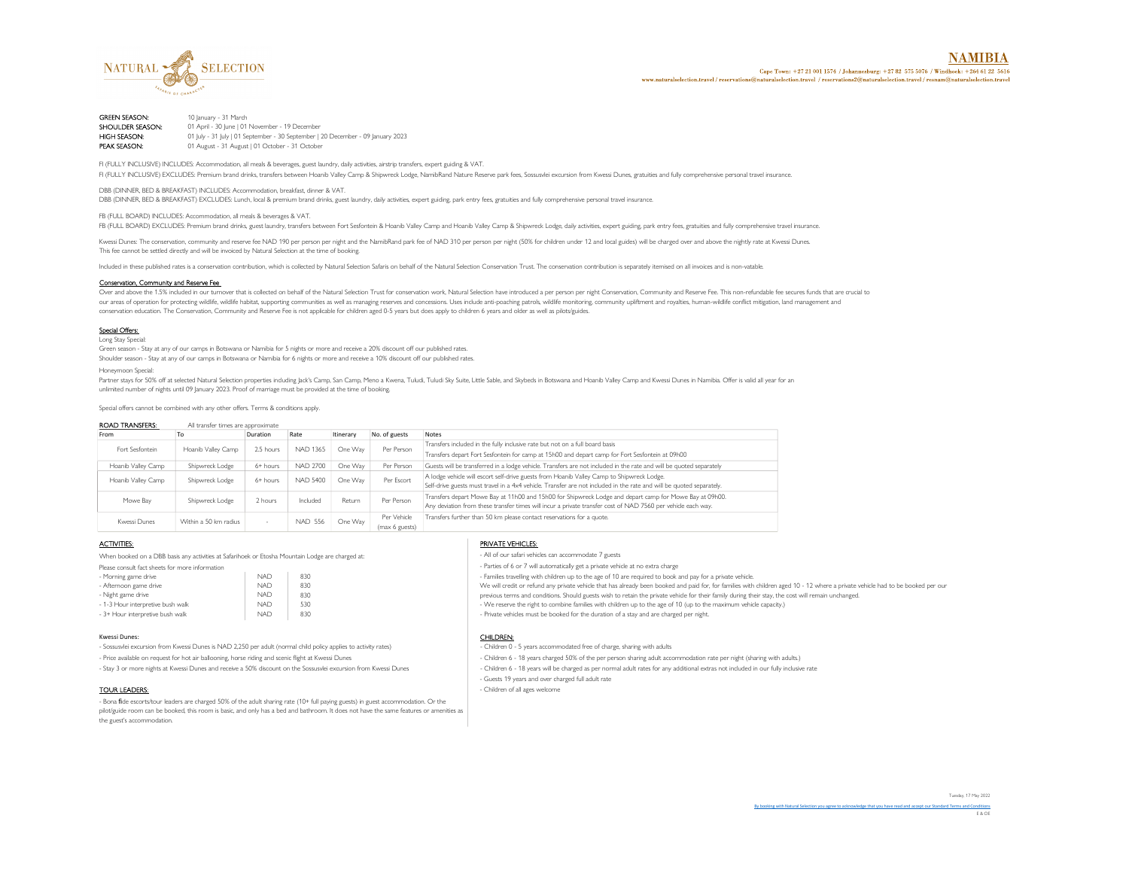

NAMIRIA Cape Town: +27 21 001 1574 / Johannesburg: +27 82 575 5076 / Windhoek: +264 61 22 5616 www.naturalselection.travel/reservations@naturalselection.travel/reservations2@naturalselection.travel/resnam@naturalselection.trave

**GREEN SEASON:** 10 January - 31 March<br>**SHOULDER SEASON:** 01 April - 30 June | 01 SHOULDER SEASON: 01 April - 30 June | 01 November - 19 December<br>
HIGH SEASON: 01 July - 31 July | 01 September - 30 September | **HIGH SEASON:** 01 July - 31 July | 01 September - 30 September | 20 December - 09 January 2023<br>**PEAK SEASON:** 01 August - 31 August | 01 October - 31 October 01 August - 31 August | 01 October - 31 October

FI (FULLY INCLUSIVE) INCLUDES: Accommodation, all meals & beverages, guest laundry, daily activities, airstrip transfers, expert guiding & VAT. FI (FULLY INCLUSIVE) EXCLUDES: Premium brand drinks, transfers between Hoanib Valley Camp & Shipwreck Lodge, NamibRand Nature Reserve park fees, Sossusvlei excursion from Kwessi Dunes, gratuities and fully comprehensive pe

DBB (DINNER, BED & BREAKFAST) INCLUDES: Accommodation, breakfast, dinner & VAT.

DBB (DINNER, BED & BREAKFAST) EXCLUDES: Lunch, local & premium brand drinks, guest laundry, daily activities, expert guiding, park entry fees, gratuities and fully comprehensive personal travel insurance.

FB (FULL BOARD) INCLUDES: Accommodation, all meals & beverages & VAT.

FB (FULL BOARD) EXCLUDES: Premium brand drinks, guest laundry, transfers between Fort Sesfontein & Hoanib Valley Camp and Hoanib Valley Camp & Shipwreck Lodge, daily activities, expert guiding, park entry fees, gratuities

Kwessi Dunes: The conservation, community and reserve fee NAD 190 per person per night and the NamibRand park fee of NAD 310 per person per night (50% for children under 12 and local guides) will be charged over and above This fee cannot be settled directly and will be invoiced by Natural Selection at the time of booking.

Included in these published rates is a conservation contribution, which is collected by Natural Selection Safaris on behalf of the Natural Selection Conservation Conservation Trust. The conservation contribution is separat

#### Conservation, Community and Reserve Fee

Over and above the 1.5% included in our turnover that is collected on behalf of the Natural Selection Trust for conservation work, Natural Selection have introduced a per person per night Conservation, Community and Reserv our areas of operation for protecting wildlife, wildlife habitat, supporting communities as well as managing reserves and concessions. Uses include anti-poaching patrols, wildlife monitoring, community upliftment and royal conservation education. The Conservation, Community and Reserve Fee is not applicable for children aged 0-5 years but does apply to children 6 years and older as well as pilots/guides.

#### Special Offers: Long Stay Special

Green season - Stay at any of our camps in Botswana or Namibia for 5 nights or more and receive a 20% discount off our published rates. Shoulder season - Stay at any of our camps in Botswana or Namibia for 6 nights or more and receive a 10% discount off our published rates.

Honeymoon Special:

Partner stays for 50% off at selected Natural Selection properties including Jack's Camp, San Camp, Meno a Kwena, Tuludi, Tuludi Sky Suite, Little Sable, and Skybeds in Botswana and Hoanib Valley Camp and Kwessi Dunes in N unlimited number of nights until 09 January 2023. Proof of marriage must be provided at the time of booking.

Special offers cannot be combined with any other offers. Terms & conditions apply.

| <b>ROAD TRANSFERS:</b><br>All transfer times are approximate |                    |                                                              |                 |             |                                                                       |                                                                                                                      |  |
|--------------------------------------------------------------|--------------------|--------------------------------------------------------------|-----------------|-------------|-----------------------------------------------------------------------|----------------------------------------------------------------------------------------------------------------------|--|
| From                                                         | 10                 | Duration                                                     | Rate            | Itinerary   | No. of guests                                                         | Notes                                                                                                                |  |
| Fort Sesfontein                                              | Hoanib Valley Camp | 2.5 hours                                                    | <b>NAD 1365</b> | One Way     | Per Person                                                            | Transfers included in the fully inclusive rate but not on a full board basis                                         |  |
|                                                              |                    |                                                              |                 |             |                                                                       | Transfers depart Fort Sesfontein for camp at 15h00 and depart camp for Fort Sesfontein at 09h00                      |  |
| Hoanib Valley Camp                                           | Shipwreck Lodge    | 6+ hours                                                     | <b>NAD 2700</b> | One Wav     | Per Person                                                            | Guests will be transferred in a lodge vehicle. Transfers are not included in the rate and will be quoted separately  |  |
| Hoanib Valley Camp                                           | Shipwreck Lodge    | 6+ hours                                                     | <b>NAD 5400</b> | One Wav     | Per Escort                                                            | A lodge vehicle will escort self-drive guests from Hoanib Valley Camp to Shipwreck Lodge.                            |  |
|                                                              |                    |                                                              |                 |             |                                                                       | Self-drive guests must travel in a 4x4 vehicle. Transfer are not included in the rate and will be quoted separately. |  |
| Mowe Bay                                                     | Shipwreck Lodge    | 2 hours                                                      | Included        | Return      | Per Person                                                            | Transfers depart Mowe Bay at 11h00 and 15h00 for Shipwreck Lodge and depart camp for Mowe Bay at 09h00.              |  |
|                                                              |                    |                                                              |                 |             |                                                                       | Any deviation from these transfer times will incur a private transfer cost of NAD 7560 per vehicle each way.         |  |
| Kwessi Dunes                                                 |                    | <b>NAD 556</b><br>One Way<br>Within a 50 km radius<br>$\sim$ |                 | Per Vehicle | Transfers further than 50 km please contact reservations for a quote. |                                                                                                                      |  |
|                                                              |                    |                                                              |                 |             | (max 6 guests)                                                        |                                                                                                                      |  |

When booked on a DBB basis any activities at Safarihoek or Etosha Mountain Lodge are charged at:  $\blacksquare$  All of our safari vehicles can accommodate 7 guests

| Please consult fact sheets for more information |            |     | - Parties of 6 or 7 will automatically get a private vehicle at no extra charge           |
|-------------------------------------------------|------------|-----|-------------------------------------------------------------------------------------------|
| - Morning game drive                            | <b>NAD</b> | 830 | - Families travelling with children up to the age of 10 are required to book and pay for  |
| - Afternoon game drive                          | <b>NAD</b> | 830 | We will credit or refund any private vehicle that has already been booked and paid for,   |
| - Night game drive                              | <b>NAD</b> | 830 | previous terms and conditions. Should guests wish to retain the private vehicle for their |
| - 1-3 Hour interpretive bush walk               | <b>NAD</b> | 530 | - We reserve the right to combine families with children up to the age of 10 (up to the   |
| - 3+ Hour interpretive bush walk                | <b>NAD</b> | 830 | - Private vehicles must be booked for the duration of a stay and are charged per night.   |
|                                                 |            |     |                                                                                           |

#### Kwessi Dunes: **CHILDREN:** CHILDREN: **CHILDREN:** CHILDREN: CHILDREN: CHILDREN: CHILDREN: CHILDREN: CHILDREN: CHILDREN: CHILDREN: CHILDREN: CHILDREN: CHILDREN: CHILDREN: CHILDREN: CHILDREN: CHILDREN: CHILDREN: CHILDREN: CHIL

- Sossusvlei excursion from Kwessi Dunes is NAD 2,250 per adult (normal child policy applies to activity rates) - Children 0 - 5 years accommodated free of charge, sharing with adults

- Bona fide escorts/tour leaders are charged 50% of the adult sharing rate (10+ full paying guests) in guest accommodation. Or the pilot/guide room can be booked, this room is basic, and only has a bed and bathroom. It does not have the same features or amenities as the guest's accommodation.

#### **ACTIVITIES:** PRIVATE VEHICLES:

- Parties of 6 or 7 will automatically get a private vehicle at no extra charge - We reserve the right to combine families with children up to the age of 10 (up to the maximum vehicle capacity.) - Families travelling with children up to the age of 10 are required to book and pay for a private vehicle. We will credit or refund any private vehicle that has already been booked and paid for, for families with children aged 10 - 12 where a private vehicle had to be booked per our previous terms and conditions. Should guests wish to retain the private vehicle for their family during their stay, the cost will remain unchanged.

- Price available on request for hot air ballooning, horse riding and scenic flight at Kwessi Dunes - Children 6 - 18 years charged 50% of the per person sharing adult accommodation rate per night (sharing with adults.)

- Stay 3 or more nights at Kwessi Dunes and receive a 50% discount on the Sossusvlei excursion from Kwessi Dunes - Children 6 - 18 years will be charged as per normal adult rates for any additional extras not included in o

- Guests 19 years and over charged full adult rate

TOUR LEADERS:  $\blacksquare$ 

Tuesday, 17 May 2022

By booking with Natural Selection you agree to acknowledge that you have read and accept our Standard Terms and Conditions